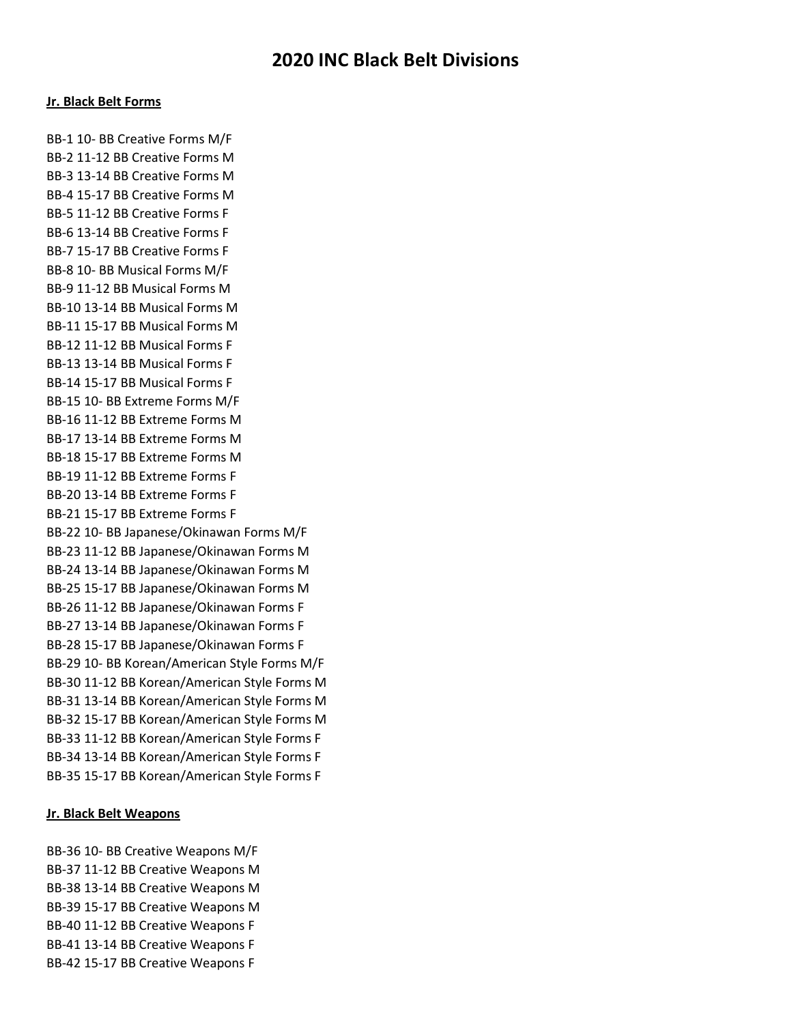# Jr. Black Belt Forms

BB-1 10- BB Creative Forms M/F BB-2 11-12 BB Creative Forms M BB-3 13-14 BB Creative Forms M BB-4 15-17 BB Creative Forms M BB-5 11-12 BB Creative Forms F BB-6 13-14 BB Creative Forms F BB-7 15-17 BB Creative Forms F BB-8 10- BB Musical Forms M/F BB-9 11-12 BB Musical Forms M BB-10 13-14 BB Musical Forms M BB-11 15-17 BB Musical Forms M BB-12 11-12 BB Musical Forms F BB-13 13-14 BB Musical Forms F BB-14 15-17 BB Musical Forms F BB-15 10- BB Extreme Forms M/F BB-16 11-12 BB Extreme Forms M BB-17 13-14 BB Extreme Forms M BB-18 15-17 BB Extreme Forms M BB-19 11-12 BB Extreme Forms F BB-20 13-14 BB Extreme Forms F BB-21 15-17 BB Extreme Forms F BB-22 10- BB Japanese/Okinawan Forms M/F BB-23 11-12 BB Japanese/Okinawan Forms M BB-24 13-14 BB Japanese/Okinawan Forms M BB-25 15-17 BB Japanese/Okinawan Forms M BB-26 11-12 BB Japanese/Okinawan Forms F BB-27 13-14 BB Japanese/Okinawan Forms F BB-28 15-17 BB Japanese/Okinawan Forms F BB-29 10- BB Korean/American Style Forms M/F BB-30 11-12 BB Korean/American Style Forms M BB-31 13-14 BB Korean/American Style Forms M BB-32 15-17 BB Korean/American Style Forms M BB-33 11-12 BB Korean/American Style Forms F BB-34 13-14 BB Korean/American Style Forms F BB-35 15-17 BB Korean/American Style Forms F

# Jr. Black Belt Weapons

BB-36 10- BB Creative Weapons M/F BB-37 11-12 BB Creative Weapons M BB-38 13-14 BB Creative Weapons M BB-39 15-17 BB Creative Weapons M BB-40 11-12 BB Creative Weapons F BB-41 13-14 BB Creative Weapons F BB-42 15-17 BB Creative Weapons F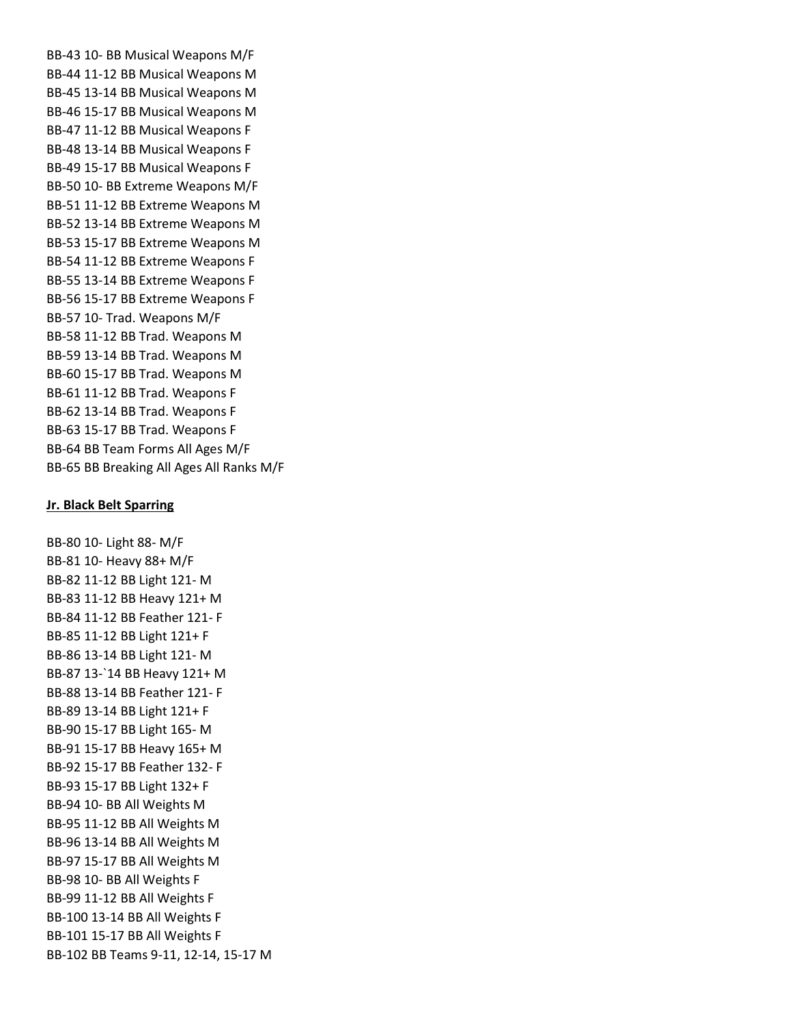BB-43 10- BB Musical Weapons M/F BB-44 11-12 BB Musical Weapons M BB-45 13-14 BB Musical Weapons M BB-46 15-17 BB Musical Weapons M BB-47 11-12 BB Musical Weapons F BB-48 13-14 BB Musical Weapons F BB-49 15-17 BB Musical Weapons F BB-50 10- BB Extreme Weapons M/F BB-51 11-12 BB Extreme Weapons M BB-52 13-14 BB Extreme Weapons M BB-53 15-17 BB Extreme Weapons M BB-54 11-12 BB Extreme Weapons F BB-55 13-14 BB Extreme Weapons F BB-56 15-17 BB Extreme Weapons F BB-57 10- Trad. Weapons M/F BB-58 11-12 BB Trad. Weapons M BB-59 13-14 BB Trad. Weapons M BB-60 15-17 BB Trad. Weapons M BB-61 11-12 BB Trad. Weapons F BB-62 13-14 BB Trad. Weapons F BB-63 15-17 BB Trad. Weapons F BB-64 BB Team Forms All Ages M/F BB-65 BB Breaking All Ages All Ranks M/F

### Jr. Black Belt Sparring

BB-80 10- Light 88- M/F BB-81 10- Heavy 88+ M/F BB-82 11-12 BB Light 121- M BB-83 11-12 BB Heavy 121+ M BB-84 11-12 BB Feather 121- F BB-85 11-12 BB Light 121+ F BB-86 13-14 BB Light 121- M BB-87 13-`14 BB Heavy 121+ M BB-88 13-14 BB Feather 121- F BB-89 13-14 BB Light 121+ F BB-90 15-17 BB Light 165- M BB-91 15-17 BB Heavy 165+ M BB-92 15-17 BB Feather 132- F BB-93 15-17 BB Light 132+ F BB-94 10- BB All Weights M BB-95 11-12 BB All Weights M BB-96 13-14 BB All Weights M BB-97 15-17 BB All Weights M BB-98 10- BB All Weights F BB-99 11-12 BB All Weights F BB-100 13-14 BB All Weights F BB-101 15-17 BB All Weights F BB-102 BB Teams 9-11, 12-14, 15-17 M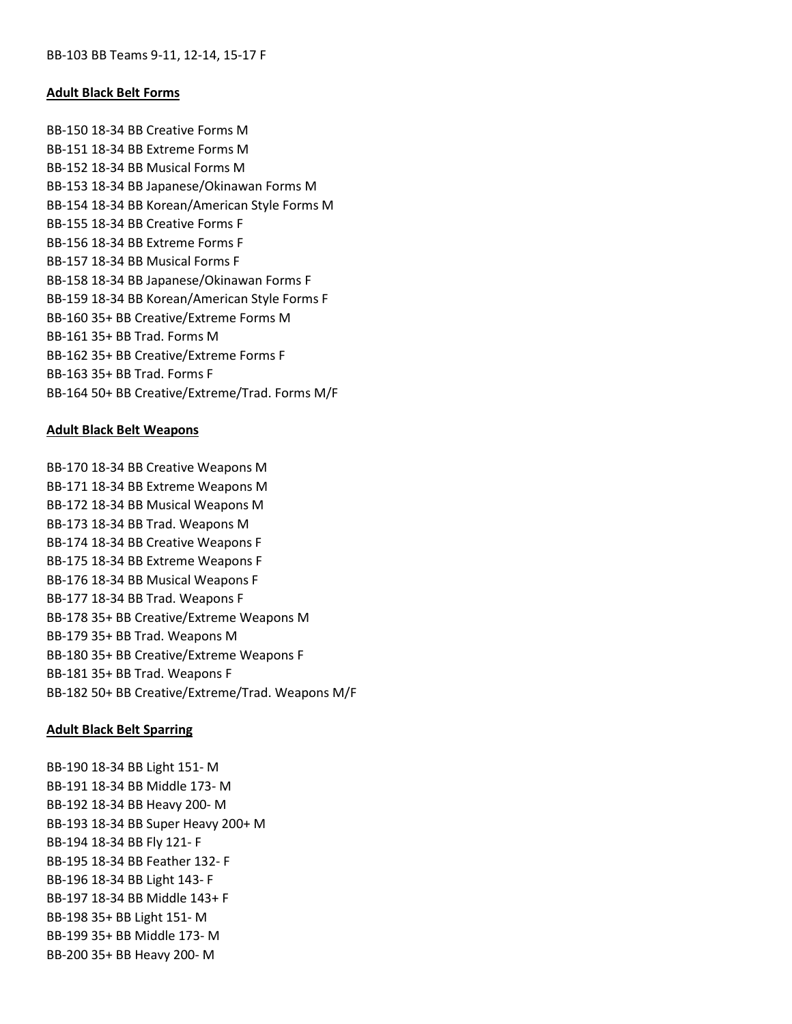# Adult Black Belt Forms

BB-150 18-34 BB Creative Forms M BB-151 18-34 BB Extreme Forms M BB-152 18-34 BB Musical Forms M BB-153 18-34 BB Japanese/Okinawan Forms M BB-154 18-34 BB Korean/American Style Forms M BB-155 18-34 BB Creative Forms F BB-156 18-34 BB Extreme Forms F BB-157 18-34 BB Musical Forms F BB-158 18-34 BB Japanese/Okinawan Forms F BB-159 18-34 BB Korean/American Style Forms F BB-160 35+ BB Creative/Extreme Forms M BB-161 35+ BB Trad. Forms M BB-162 35+ BB Creative/Extreme Forms F BB-163 35+ BB Trad. Forms F BB-164 50+ BB Creative/Extreme/Trad. Forms M/F

# Adult Black Belt Weapons

BB-170 18-34 BB Creative Weapons M BB-171 18-34 BB Extreme Weapons M BB-172 18-34 BB Musical Weapons M BB-173 18-34 BB Trad. Weapons M BB-174 18-34 BB Creative Weapons F BB-175 18-34 BB Extreme Weapons F BB-176 18-34 BB Musical Weapons F BB-177 18-34 BB Trad. Weapons F BB-178 35+ BB Creative/Extreme Weapons M BB-179 35+ BB Trad. Weapons M BB-180 35+ BB Creative/Extreme Weapons F BB-181 35+ BB Trad. Weapons F BB-182 50+ BB Creative/Extreme/Trad. Weapons M/F

### Adult Black Belt Sparring

BB-190 18-34 BB Light 151- M BB-191 18-34 BB Middle 173- M BB-192 18-34 BB Heavy 200- M BB-193 18-34 BB Super Heavy 200+ M BB-194 18-34 BB Fly 121- F BB-195 18-34 BB Feather 132- F BB-196 18-34 BB Light 143- F BB-197 18-34 BB Middle 143+ F BB-198 35+ BB Light 151- M BB-199 35+ BB Middle 173- M BB-200 35+ BB Heavy 200- M